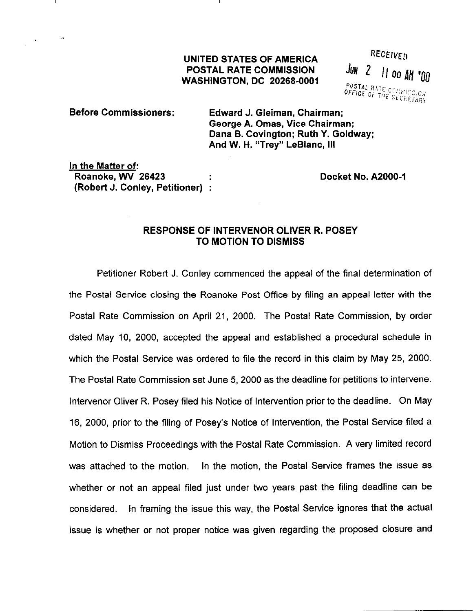# UNITED STATES OF AMERICA<br>POSTAL RATE COMMISSION JUN 2 11 00 AM '00 POSTAL RATE COMMISSION WASHINGTON, DC 20266-0001

POSTAL RATE COMMISSION<br>OFFICE OF THE SECRETARY

Before Commissioners: Edward J. Gleiman, Chairman; George A. Omas, Vice Chairman: Dana B. Covington; Ruth Y. Goldway; And W. H. "Trey" LeBlanc, Ill

In the Matter of: Roanoke, WV 26423 (Robert J. Conley, Petitioner) :

Docket No. A2000-1

## RESPONSE OF INTERVENOR OLIVER R. POSEY TO MOTION TO DISMISS

Petitioner Robert J. Conley commenced the appeal of the final determination of the Postal Service closing the Roanoke Post Office by filing an appeal letter with the Postal Rate Commission on April 21, 2000. The Postal Rate Commission, by order dated May IO, 2000, accepted the appeal and established a procedural schedule in which the Postal Service was ordered to file the record in this claim by May 25, 2000. The Postal Rate Commission set June 5, 2000 as the deadline for petitions to intervene. lntervenor Oliver R. Posey filed his Notice of Intervention prior to the deadline. On May 16, 2000, prior to the filing of Posey's Notice of Intervention, the Postal Service filed a Motion to Dismiss Proceedings with the Postal Rate Commission. A very limited record was attached to the motion. In the motion, the Postal Service frames the issue as whether or not an appeal filed just under two years past the filing deadline can be considered. In framing the issue this way, the Postal Service ignores that the actual issue is whether or not proper notice was given regarding the proposed closure and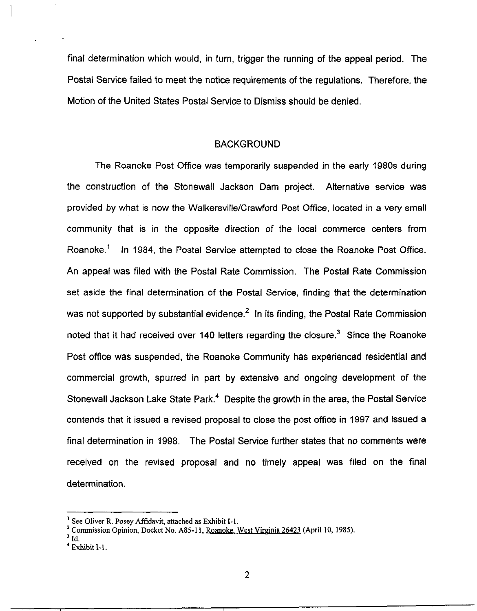final determination which would, in turn, trigger the running of the appeal period. The Postal Service failed to meet the notice requirements of the regulations. Therefore, the Motion of the United States Postal Service to Dismiss should be denied.

### **BACKGROUND**

The Roanoke Post Office was temporarily suspended in the early 1980s during the construction of the Stonewall Jackson Dam project. Alternative service was provided by what is now the Walkersville/Crawford Post Office, located in a very small community that is in the opposite direction of the local commerce centers from Roanoke.' In 1984, the Postal Service attempted to close the Roanoke Post Office. An appeal was filed with the Postal Rate Commission. The Postal Rate Commission set aside the final determination of the Postal Service, finding that the determination was not supported by substantial evidence. $<sup>2</sup>$  In its finding, the Postal Rate Commission</sup> noted that it had received over 140 letters regarding the closure.<sup>3</sup> Since the Roanoke Post office was suspended, the Roanoke Community has experienced residential and commercial growth, spurred in part by extensive and ongoing development of the Stonewall Jackson Lake State Park.<sup>4</sup> Despite the growth in the area, the Postal Service contends that it issued a revised proposal to close the post office in 1997 and issued a final determination in 1998. The Postal Service further states that no comments were received on the revised proposal and no timely appeal was filed on the final determination.

<sup>&</sup>lt;sup>1</sup> See Oliver R. Posey Affidavit, attached as Exhibit I-1.

<sup>&</sup>lt;sup>2</sup> Commission Opinion, Docket No. A85-11, Roanoke, West Virginia 26423 (April 10, 1985).

 $3$  Id.

 $4$  Exhibit I-1.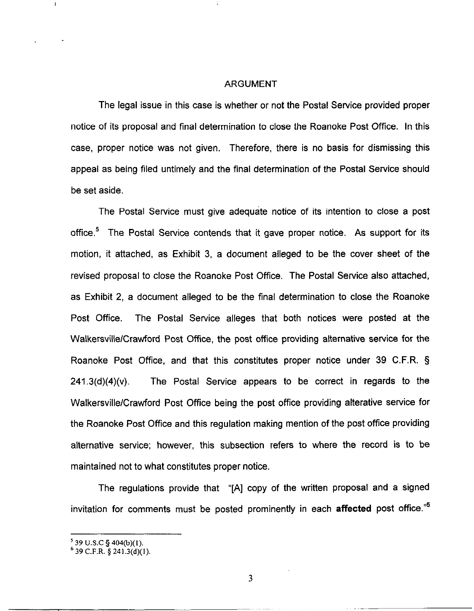#### ARGUMENT

The legal issue in this case is whether or not the Postal Service provided proper notice of its proposal and final determination to close the Roanoke Post Office. In this case, proper notice was not given. Therefore, there is no basis for dismissing this appeal as being filed untimely and the final determination of the Postal Service should be set aside.

The Postal Service must give adequate notice of its intention to close a post office.<sup>5</sup> The Postal Service contends that it gave proper notice. As support for its motion, it attached, as Exhibit 3, a document alleged to be the cover sheet of the revised proposal to close the Roanoke Post Office. The Postal Service also attached, as Exhibit 2, a document alleged to be the final determination to close the Roanoke Post Office. The Postal Service alleges that both notices were posted at the Walkersville/Crawford Post Office, the post office providing alternative service for the Roanoke Post Office, and that this constitutes proper notice under 39 C.F.R. §  $241.3(d)(4)(v)$ . The Postal Service appears to be correct in regards to the Walkersville/Crawford Post Office being the post office providing alterative service for the Roanoke Post Office and this regulation making mention of the post office providing alternative service; however, this subsection refers to where the record is to be maintained not to what constitutes proper notice.

The regulations provide that "[A] copy of the written proposal and a signed invitation for comments must be posted prominently in each affected post office."6

 $\mathbf{I}$ 

<sup>&</sup>lt;sup>5</sup> 39 U.S.C § 404(b)(1).

 $6$  39 C.F.R.  $\frac{5}{2}$  241,3(d)(1).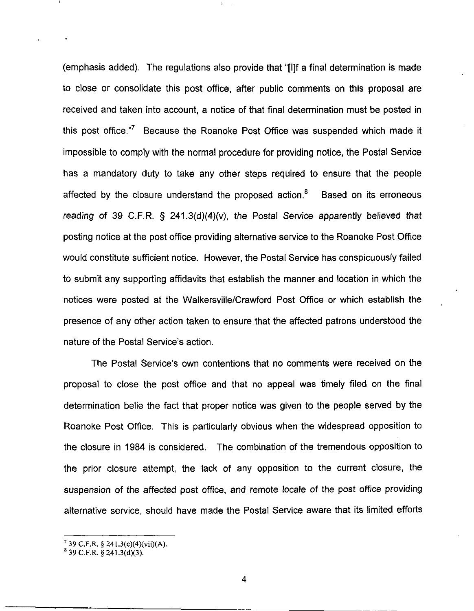(emphasis added). The regulations also provide that "[IIf a final determination is made to close or consolidate this post office, after public comments on this proposal are received and taken into account, a notice of that final determination must be posted in this post office."' Because the Roanoke Post Office was suspended which made it impossible to comply with the normal procedure for providing notice, the Postal Service has a mandatory duty to take any other steps required to ensure that the people affected by the closure understand the proposed action. $<sup>8</sup>$  Based on its erroneous</sup> reading of 39 C.F.R.  $\S$  241.3(d)(4)(v), the Postal Service apparently believed that posting notice at the post office providing alternative service to the Roanoke Post Office would constitute sufficient notice. However, the Postal Service has conspicuously failed to submit any supporting affidavits that establish the manner and location in which the notices were posted at the Walkersville/Crawford Post Office or which establish the presence of any other action taken to ensure that the affected patrons understood the nature of the Postal Service's action.

The Postal Service's own contentions that no comments were received on the proposal to close the post office and that no appeal was timely filed on the final determination belie the fact that proper notice was given to the people served by the Roanoke Post Office. This is particularly obvious when the widespread opposition to the closure in 1984 is considered. The combination of the tremendous opposition to the prior closure attempt, the lack of any opposition to the current closure, the suspension of the affected post office, and remote locale of the post office providing alternative service, should have made the Postal Service aware that its limited efforts

 $^7$  39 C.F.R. § 241.3(c)(4)(vii)(A).

 $8^{8}$  39 C.F.R.  $8$  241.3(d)(3).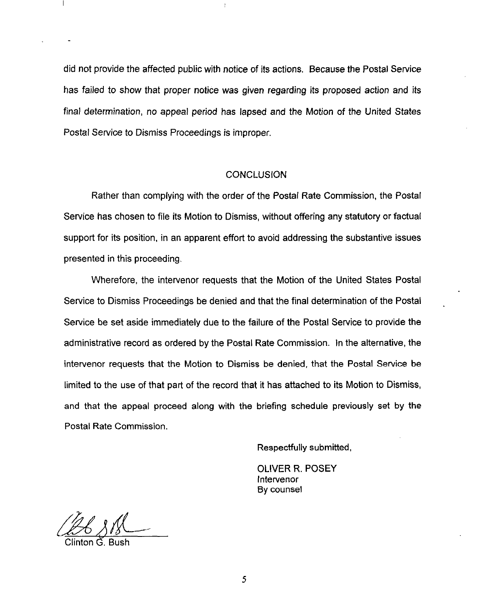did not provide the affected public with notice of its actions. Because the Postal Service has failed to show that proper notice was given regarding its proposed action and its final determination, no appeal period has lapsed and the Motion of the United States Postal Service to Dismiss Proceedings is improper.

 $\ddagger$ 

#### **CONCLUSION**

Rather than complying with the order of the Postal Rate Commission, the Postal Service has chosen to file its Motion to Dismiss, without offering any statutory or factual support for its position, in an apparent effort to avoid addressing the substantive issues presented in this proceeding.

Wherefore, the intervenor requests that the Motion of the United States Postal Service to Dismiss Proceedings be denied and that the final determination of the Postal Service be set aside immediately due to the failure of the Postal Service to provide the administrative record as ordered by the Postal Rate Commission. In the alternative, the intervenor requests that the Motion to Dismiss be denied, that the Postal Service be limited to the use of that part of the record that it has attached to its Motion to Dismiss, and that the appeal proceed along with the briefing schedule previously set by the Postal Rate Commission.

Respectfully submitted,

OLIVER R. POSEY lntervenor By counsel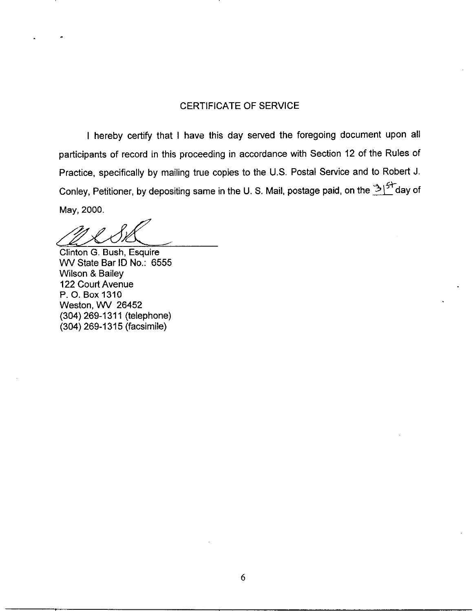### CERTIFICATE OF SERVICE

I hereby certify that I have this day served the foregoing document upon all participants of record in this proceeding in accordance with Section 12 of the Rules of Practice, specifically by mailing true copies to the U.S. Postal Service and to Robert J. Conley, Petitioner, by depositing same in the U. S. Mail, postage paid, on the  $\mathbb{E}^{\mathbb{C}}$ day of May, 2000.

Clinton G. Bush, Esquire WV State Bar ID No.: 6555 Wilson & Bailey 122 Court Avenue P. 0. Box 1310 Weston, WV 26452 (304) 269-l 311 (telephone) (304) 269-l 315 (facsimile)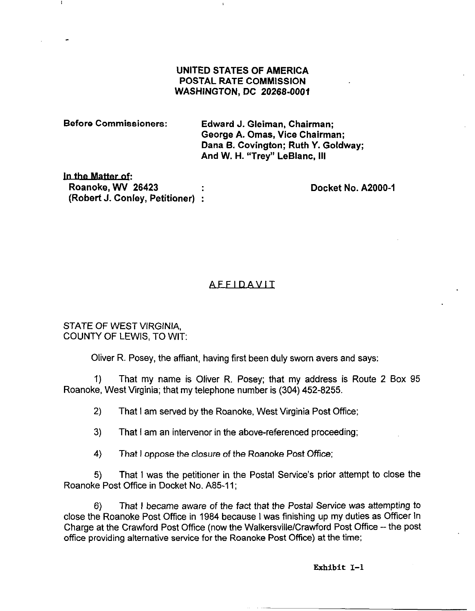### UNITED STATES OF AMERICA POSTAL RATE COMMISSION WASHINGTON, DC 20266-0001

| Before Commissioners: | Edward J. Gleiman, Chairman;<br>George A. Omas, Vice Chairman;<br>Dana B. Covington; Ruth Y. Goldway;<br>And W. H. "Trey" LeBlanc, III |
|-----------------------|----------------------------------------------------------------------------------------------------------------------------------------|
| in the Matter of:     |                                                                                                                                        |

In Roanoke, WV 26423 (Robert J. Conley, Petitioner) :

Docket No. A2000-1

# AFFIDAVIT:

STATE OF WEST VIRGINIA, COUNTY OF LEWIS, TO WIT:

Oliver R. Posey, the affiant, having first been duly sworn avers and says:

1) That my name is Oliver R. Posey; that my address is Route 2 Box 95 Roanoke, West Virginia; that my telephone number is (304) 452-8255.

2) That I am served by the Roanoke, West Virginia Post Office;

3) That I am an intervenor in the above-referenced proceeding;

4) That I oppose the closure of the Roanoke Post Office;

5) That I was the petitioner in the Postal Service's prior attempt to close the Roanoke Post Office in Docket No. A85-11;

6) That I became aware of the fact that the Postal Service was attempting to close the Roanoke Post Office in 1984 because I was finishing up my duties as Officer In Charge at the Crawford Post Office (now the WalkersvillelCrawford Post Office -- the post office providing alternative service for the Roanoke Post Office) at the time;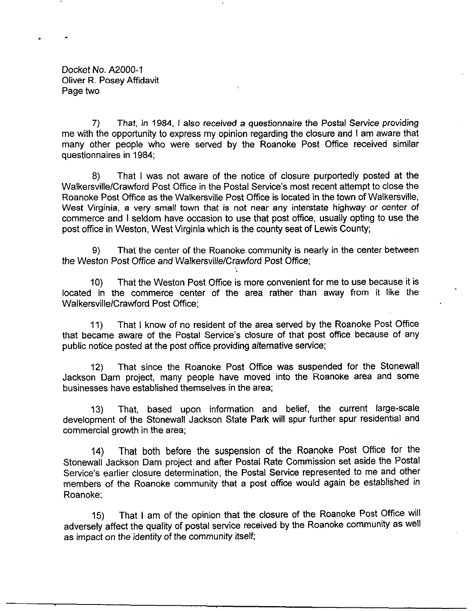Docket No. A2000-1 Oliver R. Posey Affidavit Page two

7) That, in 1984, I also received a questionnaire the Postal Service providing me with the opportunity to express my opinion regarding the closure and I am aware that many other people who were served by the Roanoke Post Office received similar questionnaires in 1984;

8) That I was not aware of the notice of closure purportedly posted at the Walkersville/Crawford Post Office in the Postal Service's most recent attempt to close the Roanoke Post Office as the Walkersville Post Office is located in the town of Walkersville, West Virginia, a very small town that is not near any interstate highway or center of commerce and I seldom have occasion to use that post office, usually opting to use the post office in Weston, West Virginia which is the county seat of Lewis County;

9) That the center of the Roanoke community is nearly in the center between the Weston Post Office and WalkersvillelCrawford Post Office;

10) That the Weston Post Office is more convenient for me to use because it is located in the commerce center of the area rather than away from it like the Walkersville/Crawford Post Office;

11) That I know of no resident of the area served by the Roanoke Post Office that became aware of the Postal Service's closure of that post office because of any public notice posted at the post office providing alternative service;

12) That since the Roanoke Post Office was suspended for the Stonewall Jackson Dam project, many people have moved into the Roanoke area and some businesses have established themselves in the area;

13) That, based upon information and belief, the current large-scale development of the Stonewall Jackson State Park will spur further spur residential and commercial growth in the area;

14) That both before the suspension of the Roanoke Post Office for the Stonewall Jackson Dam project and after Postal Rate Commission set aside the POStal Service's earlier closure determination, the Postal Service represented to me and other members of the Roanoke community that a post office would again be established in Roanoke;

15) That I am of the opinion that the closure of the Roanoke Post Office will adversely affect the quality of postal service received by the Roanoke community as Well as impact on the identity of the community itself;